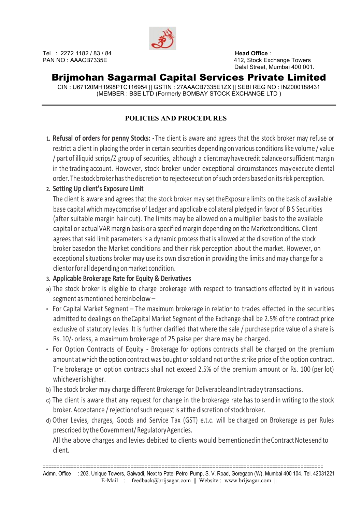

## Brijmohan Sagarmal Capital Services Private Limited

CIN : U67120MH1998PTC116954 || GSTIN : 27AAACB7335E1ZX || SEBI REG NO : INZ000188431 (MEMBER : BSE LTD (Formerly BOMBAY STOCK EXCHANGE LTD )

### POLICIES AND PROCEDURES

1. Refusal of orders for penny Stocks: - The client is aware and agrees that the stock broker may refuse or restrict a client in placing the order in certain securities depending on various conditions like volume / value / part of illiquid scrips/Z group of securities, although a client may have credit balance or sufficient margin in the trading account. However, stock broker under exceptional circumstances may execute cliental order. The stock broker has the discretion to rejectexecution of such orders based on its risk perception.

### 2. Setting Up client's Exposure Limit

The client is aware and agrees that the stock broker may set the Exposure limits on the basis of available base capital which may comprise of Ledger and applicable collateral pledged in favor of B S Securities (after suitable margin hair cut). The limits may be allowed on a multiplier basis to the available capital or actual VAR margin basis or a specified margin depending on the Market conditions. Client agrees that said limit parameters is a dynamic process that is allowed at the discretion of the stock broker based on the Market conditions and their risk perception about the market. However, on exceptional situations broker may use its own discretion in providing the limits and may change for a client or for all depending on market condition.

### 3. Applicable Brokerage Rate for Equity & Derivatives

- a) The stock broker is eligible to charge brokerage with respect to transactions effected by it in various segment as mentioned herein below –
- For Capital Market Segment The maximum brokerage in relation to trades effected in the securities admitted to dealings on the Capital Market Segment of the Exchange shall be 2.5% of the contract price exclusive of statutory levies. It is further clarified that where the sale / purchase price value of a share is Rs. 10/- orless, a maximum brokerage of 25 paise per share may be charged.
- For Option Contracts of Equity Brokerage for options contracts shall be charged on the premium amount at which the option contract was bought or sold and not on the strike price of the option contract. The brokerage on option contracts shall not exceed 2.5% of the premium amount or Rs. 100 (per lot) whichever is higher.
- b) The stock broker may charge different Brokerage for Deliverable and Intraday transactions.
- c) The client is aware that any request for change in the brokerage rate has to send in writing to the stock broker. Acceptance / rejection of such request is at the discretion of stock broker.
- d) Other Levies, charges, Goods and Service Tax (GST) e.t.c. will be charged on Brokerage as per Rules prescribed by the Government/ Regulatory Agencies.

All the above charges and levies debited to clients would bementioned in the Contract Note send to client.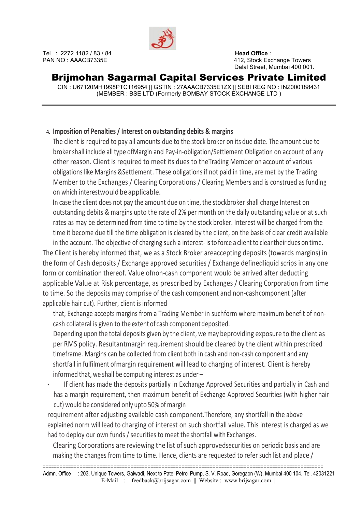

## Brijmohan Sagarmal Capital Services Private Limited

CIN : U67120MH1998PTC116954 || GSTIN : 27AAACB7335E1ZX || SEBI REG NO : INZ000188431 (MEMBER : BSE LTD (Formerly BOMBAY STOCK EXCHANGE LTD )

### 4. Imposition of Penalties / Interest on outstanding debits & margins

The client is required to pay all amounts due to the stock broker on its due date. The amount due to broker shall include all type of Margin and Pay-in-obligation/Settlement Obligation on account of any other reason. Client is required to meet its dues to the Trading Member on account of various obligations like Margins & Settlement. These obligations if not paid in time, are met by the Trading Member to the Exchanges / Clearing Corporations / Clearing Members and is construed as funding on which interest would be applicable.

In case the client does not pay the amount due on time, the stockbroker shall charge Interest on outstanding debits & margins upto the rate of 2% per month on the daily outstanding value or at such rates as may be determined from time to time by the stock broker. Interest will be charged from the time it become due till the time obligation is cleared by the client, on the basis of clear credit available

in the account. The objective of charging such a interest- is to force a client to clear their dues on time. The Client is hereby informed that, we as a Stock Broker are accepting deposits (towards margins) in the form of Cash deposits / Exchange approved securities / Exchange defined liquid scrips in any one form or combination thereof. Value of non-cash component would be arrived after deducting applicable Value at Risk percentage, as prescribed by Exchanges / Clearing Corporation from time to time. So the deposits may comprise of the cash component and non-cash component (after applicable hair cut). Further, client is informed

that, Exchange accepts margins from a Trading Member in such form where maximum benefit of noncash collateral is given to the extent of cash component deposited.

Depending upon the total deposits given by the client, we may be providing exposure to the client as per RMS policy. Resultant margin requirement should be cleared by the client within prescribed timeframe. Margins can be collected from client both in cash and non-cash component and any shortfall in fulfilment of margin requirement will lead to charging of interest. Client is hereby informed that, we shall be computing interest as under –

If client has made the deposits partially in Exchange Approved Securities and partially in Cash and has a margin requirement, then maximum benefit of Exchange Approved Securities (with higher hair cut) would be considered only upto 50% of margin

requirement after adjusting available cash component. Therefore, any shortfall in the above explained norm will lead to charging of interest on such shortfall value. This interest is charged as we had to deploy our own funds / securities to meet the shortfall with Exchanges.

Clearing Corporations are reviewing the list of such approved securities on periodic basis and are making the changes from time to time. Hence, clients are requested to refer such list and place /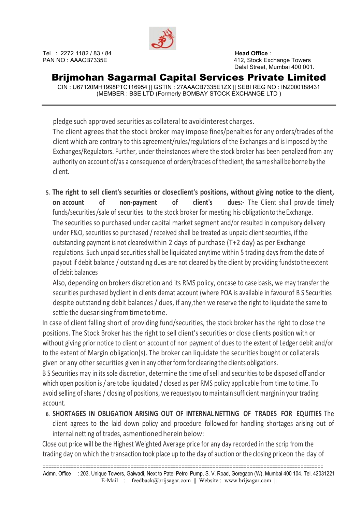

# Brijmohan Sagarmal Capital Services Private Limited

CIN : U67120MH1998PTC116954 || GSTIN : 27AAACB7335E1ZX || SEBI REG NO : INZ000188431 (MEMBER : BSE LTD (Formerly BOMBAY STOCK EXCHANGE LTD )

pledge such approved securities as collateral to avoid interest charges. The client agrees that the stock broker may impose fines/penalties for any orders/trades of the client which are contrary to this agreement/rules/regulations of the Exchanges and is imposed by the Exchanges/Regulators. Further, under the instances where the stock broker has been penalized from any authority on account of/as a consequence of orders/trades of the client, the same shall be borne by the client.

5. The right to sell client's securities or close client's positions, without giving notice to the client, on account of non-payment of client's dues:- The Client shall provide timely funds/securities /sale of securities to the stock broker for meeting his obligation to the Exchange. The securities so purchased under capital market segment and/or resulted in compulsory delivery under F&O, securities so purchased / received shall be treated as unpaid client securities, if the outstanding payment is not cleared within 2 days of purchase (T+2 day) as per Exchange regulations. Such unpaid securities shall be liquidated anytime within 5 trading days from the date of payout if debit balance / outstanding dues are not cleared by the client by providing funds to the extent of debit balances

Also, depending on brokers discretion and its RMS policy, on case to case basis, we may transfer the securities purchased by client in clients demat account (where POA is available in favour of B S Securities despite outstanding debit balances / dues, if any, then we reserve the right to liquidate the same to settle the dues arising from time to time.

In case of client falling short of providing fund/securities, the stock broker has the right to close the positions. The Stock Broker has the right to sell client's securities or close clients position with or without giving prior notice to client on account of non payment of dues to the extent of Ledger debit and/or to the extent of Margin obligation(s). The broker can liquidate the securities bought or collaterals given or any other securities given in any other form for clearing the clients obligations.

B S Securities may in its sole discretion, determine the time of sell and securities to be disposed off and or which open position is / are tobe liquidated / closed as per RMS policy applicable from time to time. To avoid selling of shares / closing of positions, we requestyou to maintain sufficient margin in your trading account.

### 6. SHORTAGES IN OBLIGATION ARISING OUT OF INTERNAL NETTING OF TRADES FOR EQUITIES The

client agrees to the laid down policy and procedure followed for handling shortages arising out of internal netting of trades, as mentioned herein below:

Close out price will be the Highest Weighted Average price for any day recorded in the scrip from the trading day on which the transaction took place up to the day of auction or the closing price on the day of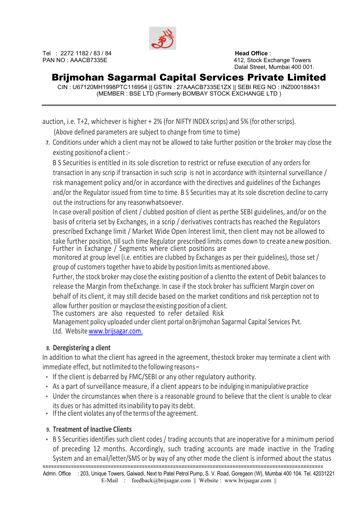

Tel : 2272 1182 / 83 / 84 **Head Office** :

PAN NO : AAACB7335E 412, Stock Exchange Towers Dalal Street, Mumbai 400 001.

## Brijmohan Sagarmal Capital Services Private Limited

CIN : U67120MH1998PTC116954 || GSTIN : 27AAACB7335E1ZX || SEBI REG NO : INZ000188431 (MEMBER : BSE LTD (Formerly BOMBAY STOCK EXCHANGE LTD )

auction, i.e. T+2, whichever is higher + 2% (for NIFTY INDEX scrips) and 5% (for other scrips). (Above defined parameters are subject to change from time to time)

7. Conditions under which a client may not be allowed to take further position or the broker may close the existing position of a client :-

B S Securities is entitled in its sole discretion to restrict or refuse execution of any orders for transaction in any scrip if transaction in such scrip is not in accordance with its internal surveillance / risk management policy and/or in accordance with the directives and guidelines of the Exchanges and/or the Regulator issued from time to time. B S Securities may at its sole discretion decline to carry out the instructions for any reason whatsoever.

In case overall position of client / clubbed position of client as perthe SEBI guidelines, and/or on the basis of criteria set by Exchanges, in a scrip / derivatives contracts has reached the Regulators prescribed Exchange limit / Market Wide Open Interest limit, then client may not be allowed to take further position, till such time Regulator prescribed limits comes down to create a new position. Further in Exchange / Segments where client positions are

monitored at group level (i.e. entities are clubbed by Exchanges as per their guidelines), those set / group of customers together have to abide by position limits as mentioned above.

Further, the stock broker may close the existing position of a clientto the extent of Debit balances to release the Margin from the Exchange. In case if the stock broker has sufficient Margin cover on behalf of its client, it may still decide based on the market conditions and risk perception not to allow further position or may close the existing position of a client.

The customers are also requested to refer detailed Risk

Management policy uploaded under client portal on Brijmohan Sagarmal Capital Services Pvt. Ltd. Website www.brijsagar.com.

### 8. Deregistering a client

In addition to what the client has agreed in the agreement, the stock broker may terminate a client with  $immediate$  effect, but not limited to the following reasons –

- If the client is debarred by FMC/SEBI or any other regulatory authority.
- As a part of surveillance measure, if a client appears to be indulging in manipulative practice
- Under the circumstances when there is a reasonable ground to believe that the client is unable to clear its dues or has admitted its inability to pay its debt.
- If the client violates any of the terms of the agreement.

#### 9. Treatment of Inactive Clients

=================================================================================================== • B S Securities identifies such client codes / trading accounts that are inoperative for a minimum period of preceding 12 months. Accordingly, such trading accounts are made inactive in the Trading System and an email/letter/SMS or by way of any other mode the client is informed about the status